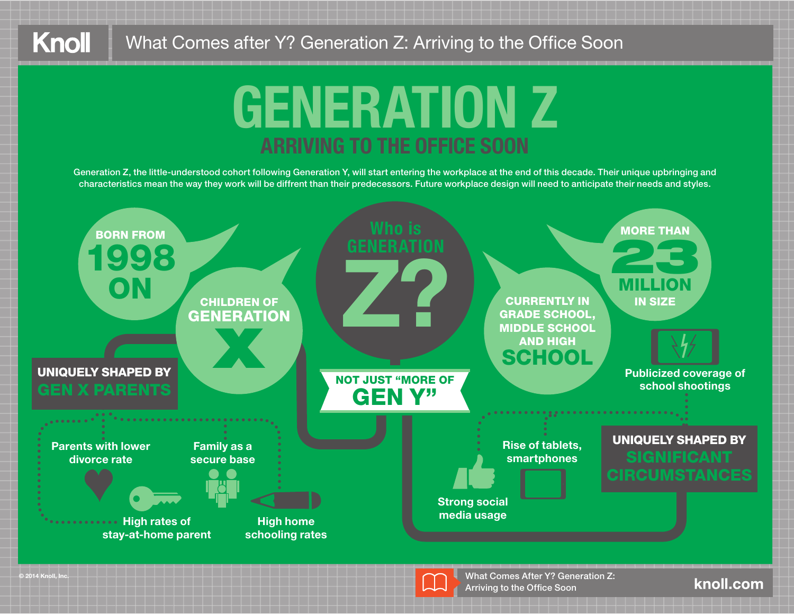# **GENERATION Z**

Generation Z, the little-understood cohort following Generation Y, will start entering the workplace at the end of this decade. Their unique upbringing and characteristics mean the way they work will be diffrent than their predecessors. Future workplace design will need to anticipate their needs and styles.



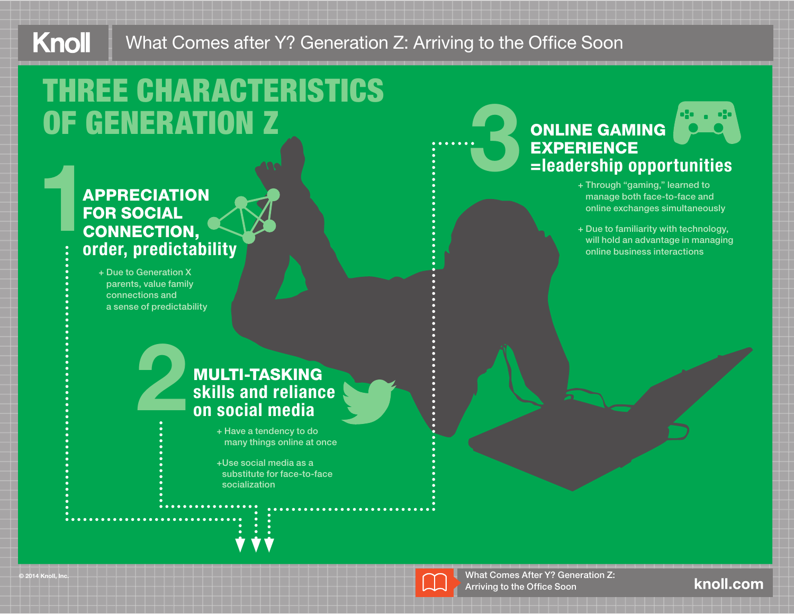#### Knoll What Comes after Y? Generation Z: Arriving to the Office Soon

# THREE CHARACTERISTICS OF GENERATION Z

## APPRECIATION FOR SOCIAL CONNECTION, order, predictability **1**

2

+ Due to Generation X parents, value family connections and a sense of predictability

## 3 ONLINE GAMING **EXPERIENCE** =leadership opportunities

- + Through "gaming," learned to manage both face-to-face and online exchanges simultaneously
- + Due to familiarity with technology, will hold an advantage in managing online business interactions

#### MULTI-TASKING skills and reliance on social media

+ Have a tendency to do many things online at once

+ Use social media as a substitute for face-to-face socialization



What Comes After Y? Generation Z: Arriving to the Office Soon

#### knoll.com